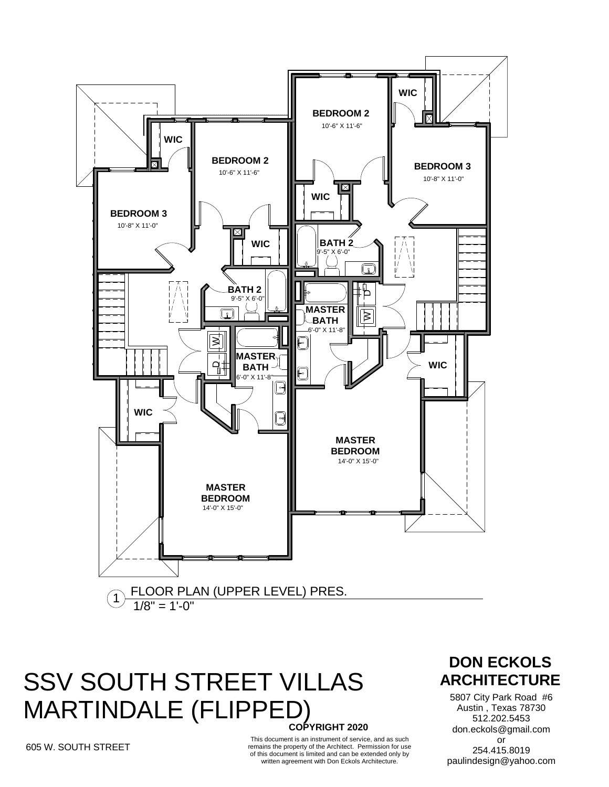

### **COPYRIGHT 2020 SSV SOUTH STREET VILLAS ARCHITECTURE** MARTINDALE (FLIPPED)

#### 605 W. SOUTH STREET

This document is an instrument of service, and as such remains the property of the Architect. Permission for use of this document is limited and can be extended only by written agreement with Don Eckols Architecture.

# **DON ECKOLS**

5807 City Park Road #6 Austin , Texas 78730 512.202.5453 don.eckols@gmail.com or 254.415.8019 paulindesign@yahoo.com